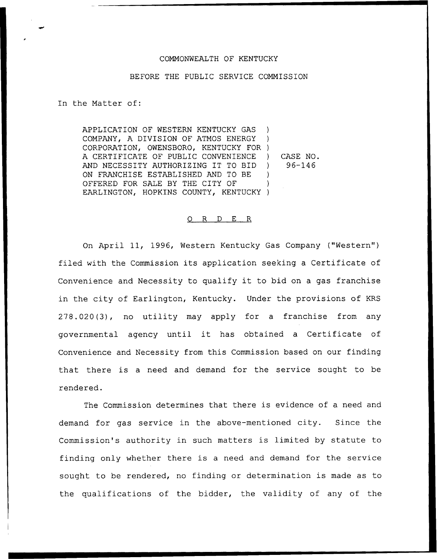## COMMONWEALTH OF KENTUCKY

## BEFORE THE PUBLIC SERVICE COMMISSION

In the Matter of:

APPLICATION OF WESTERN KENTUCKY GAS COMPANY, A DIVISION OF ATMOS ENERGY CORPORATION, OWENSBORO, KENTUCKY FOR ) A CERTIFICATE OF PUBLIC CONVENIENCE AND NECESSITY AUTHORIZING IT TO BID ON FRANCHISE ESTABLISHED AND TO BE OFFERED FOR SALE BY THE CITY OF EARLINGTON, HOPKINS COUNTY, KENTUCKY) )  $\rightarrow$ ) CASE NO. ) 96-146 ) )

## 0 R <sup>D</sup> E R

On April 11, 1996, Western Kentucky Gas Company ("Western" ) filed with the Commission its application seeking <sup>a</sup> Certificate of Convenience and Necessity to qualify it to bid on <sup>a</sup> gas franchise in the city of Earlington, Kentucky. Under the provisions of KRS 278.020(3), no utility may apply for a franchise from any governmental agency until it has obtained <sup>a</sup> Certificate of Convenience and Necessity from this Commission based on our finding that there is a need and demand for the service sought to be rendered.

The Commission determines that there is evidence of a need and demand for gas service in the above-mentioned city. Since the Commission's authority in such matters is limited by statute to finding only whether there is <sup>a</sup> need and demand for the service sought to be rendered, no finding or determination is made as to the qualifications of the bidder, the validity of any of the